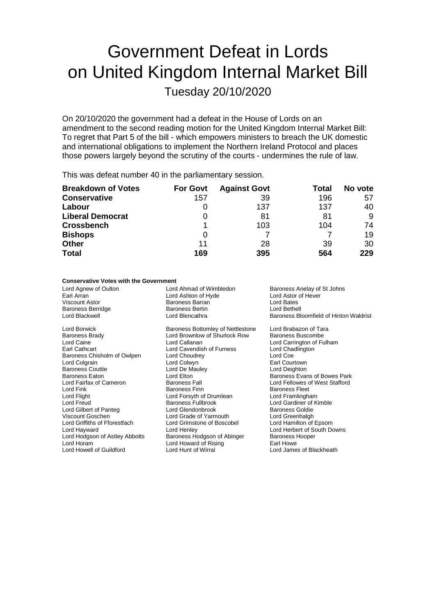# Government Defeat in Lords on United Kingdom Internal Market Bill

Tuesday 20/10/2020

On 20/10/2020 the government had a defeat in the House of Lords on an amendment to the second reading motion for the United Kingdom Internal Market Bill: To regret that Part 5 of the bill - which empowers ministers to breach the UK domestic and international obligations to implement the Northern Ireland Protocol and places those powers largely beyond the scrutiny of the courts - undermines the rule of law.

This was defeat number 40 in the parliamentary session.

| <b>Breakdown of Votes</b> | <b>For Govt</b> | <b>Against Govt</b> | Total | No vote |
|---------------------------|-----------------|---------------------|-------|---------|
| <b>Conservative</b>       | 157             | 39                  | 196   | 57      |
| Labour                    | O               | 137                 | 137   | 40      |
| <b>Liberal Democrat</b>   | O               | 81                  | 81    | 9       |
| <b>Crossbench</b>         |                 | 103                 | 104   | 74      |
| <b>Bishops</b>            | O               |                     |       | 19      |
| <b>Other</b>              | 11              | 28                  | 39    | 30      |
| <b>Total</b>              | 169             | 395                 | 564   | 229     |

## **Conservative Votes with the Government**

| Lord Agnew of Oulton<br>Earl Arran | Lord Ahmad of Wimbledon<br>Lord Ashton of Hyde | Baroness Anelay of St Johns<br>Lord Astor of Hever |
|------------------------------------|------------------------------------------------|----------------------------------------------------|
| Viscount Astor                     | Baroness Barran                                | Lord Bates                                         |
| Baroness Berridge                  | <b>Baroness Bertin</b>                         | Lord Bethell                                       |
| Lord Blackwell                     | Lord Blencathra                                | Baroness Bloomfield of Hinton Waldrist             |
| Lord Borwick                       | Baroness Bottomley of Nettlestone              | Lord Brabazon of Tara                              |
| Baroness Brady                     | Lord Brownlow of Shurlock Row                  | <b>Baroness Buscombe</b>                           |
| Lord Caine                         | Lord Callanan                                  | Lord Carrington of Fulham                          |
| Earl Cathcart                      | Lord Cavendish of Furness                      | Lord Chadlington                                   |
| Baroness Chisholm of Owlpen        | Lord Choudrey                                  | Lord Coe                                           |
| Lord Colgrain                      | Lord Colwyn                                    | Earl Courtown                                      |
| Baroness Couttie                   | Lord De Mauley                                 | Lord Deighton                                      |
| Baroness Eaton                     | Lord Elton                                     | Baroness Evans of Bowes Park                       |
| Lord Fairfax of Cameron            | <b>Baroness Fall</b>                           | Lord Fellowes of West Stafford                     |
| Lord Fink                          | <b>Baroness Finn</b>                           | <b>Baroness Fleet</b>                              |
| Lord Flight                        | Lord Forsyth of Drumlean                       | Lord Framlingham                                   |
| Lord Freud                         | <b>Baroness Fullbrook</b>                      | Lord Gardiner of Kimble                            |
| Lord Gilbert of Panteg             | Lord Glendonbrook                              | <b>Baroness Goldie</b>                             |
| Viscount Goschen                   | Lord Grade of Yarmouth                         | Lord Greenhalgh                                    |
| Lord Griffiths of Fforestfach      | Lord Grimstone of Boscobel                     | Lord Hamilton of Epsom                             |
| Lord Hayward                       | Lord Henley                                    | Lord Herbert of South Downs                        |
| Lord Hodgson of Astley Abbotts     | Baroness Hodgson of Abinger                    | Baroness Hooper                                    |
| Lord Horam                         | Lord Howard of Rising                          | Earl Howe                                          |
| Lord Howell of Guildford           | Lord Hunt of Wirral                            | Lord James of Blackheath                           |
|                                    |                                                |                                                    |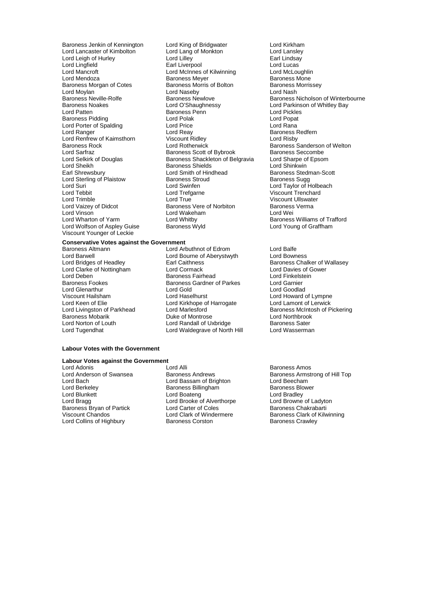Baroness Jenkin of Kennington Lord King of Bridgwater **Lord Kirkham**<br>Lord Lancaster of Kimbolton Lord Lang of Monkton Lord Lanslev Lord Moylan **Lord Naseby**<br> **Baroness Neville-Rolfe Construent Baroness Newlove** Lord Porter of Spalding **Lord Price**<br>
Lord Ranger Lord Reay<br>
Lord Renfrew of Kaimsthorn **Lord Reater Construct** Lord Renfrew of Kaimsthorn Viscount Ridley<br>Baroness Rock Baroness Rock Lord Sheikh **Election State State State Shields**<br>Earl Shrewsbury **Contains Contains Contains Contains Contains Contains Contains Contains Contains Contains Cont** Lord Sterling of Plaistow Lord Vinson<br>
Lord Wharton of Yarm<br>
Lord Whitby Lord Wolfson of Aspley Guise Viscount Younger of Leckie

Lord Lancaster of Kimbolton Lord Lang of Monkton Lord Lansley Lord Leigh of Hurley Lord Lilley Earl Lindsay Lord Lingfield **Earl Liverpool** Earl Liverpool Cord Lucas<br>
Lord Mancroft Lord McInnes of Kilwinning Lord McLoughlin Lord Mancroft **Lord McInnes of Kilwinning Lord McLoughlir**<br>Lord Mendoza **Lord McInness Mever** Baroness Mone Baroness Meyer **Baroness Mone**<br>
Baroness Morris of Bolton<br>
Baroness Morrissev Baroness Morgan of Cotes Baroness Morris of Bolton Baroness I<br>Baroness Morris of Bolton Baroness I ord Nash I ord Nash Lord Patten **Communist Communist Communist Communist Communist Communist Communist Communist Communist Communist Communist Communist Communist Communist Communist Communist Communist Communist Communist Communist Communist** Baroness Pidding Lord Polak Lord Popat Baroness Rock **Exercise Sanderson Conditioners Conditioner** Baroness Sanderson of Welton<br>Lord Sarfraz **Baroness Scott of Bybrook** Baroness Seccombe Lord Sarfraz Baroness Scott of Bybrook Baroness Seccombe Lord Selkirk of Douglas Baroness Shackleton of Belgravia Lord Sharpe of Lord Sharpe of Epsomess Shackleton of Belgravia Lord Shinkwin Lord Smith of Hindhead Baroness Stedman-Scott<br>Baroness Stroud Baroness Sugg Lord Suri Lord Swinfen Lord Taylor of Holbeach Lord Tebbit Lord Trefgarne Communication Corporation Corporation Corporation Corporation Corporation Corporatio<br>
Lord Trenchard Lord True Corporation Corporation Corporation Corporation Corporation Corporation Corporation<br> Lord Trimble Lord True Lord True Corporation Corporation Corporation Corporation Corporation Corporation Corporation Corporation Corporation Corporation Corporation Corporation Corporation Corporation Corporation Corporati Lord Vaizey of Didcot **Baroness Vere of Norbiton** Baroness Verma<br>
Lord Vinson **Baroness Verma**<br>
Lord Wakeham<br>
Lord Wei Lord Whitby **Charlon of Trafford Baroness Williams of Trafford Baroness Williams of Trafford Baroness Williams of Trafford Baroness Williams of Trafford Baroness Williams of Trafford Baroness Williams of Trafford Baroness** 

## **Conservative Votes against the Government**

Lord Barwell<br>
Lord Bridges of Headley<br>
Lord Bridges of Headley<br>
Carl Caithness Lord Clarke of Nottingham Lord Glenarthur Lord Gold<br>Viscount Hailsham Lord Haselburst Lord Keen of Elie Lord Kirkhope of Harrogate<br>Lord Livingston of Parkhead Lord Marlesford Baroness Mobarik

## Baroness Altmann and Communication of Edrom Lord Balfe<br>
Lord Baroness Altmann and Lord Bourne of Aberystwyth Lord Bowness Lord Deben **Exercise Science Exercise Fairhead** Lord Finkelstein<br>Baroness Fookes **Baroness Gardner of Parkes** Lord Garnier Baroness Gardner of Parkes Lord Garnier<br>
Lord Gold Lord Goodlad Viscount Hailsham **Lord Haselhurst** Lord Haselhurst Lord Howard of Lympne<br>
Lord Keen of Elie **Lord Kirkhope of Harrogate** Lord Lamont of Lerwick Lord Norton of Louth **Lord Randall of Uxbridge** Baroness Sater<br>
Lord Tugendhat **Communist Lord Waldegrave of North Hill** Lord Wasserman Lord Waldegrave of North Hill

Baroness Neville-Rolfe **Baroness Newlove** Baroness Nicholson of Winterbourne<br>Baroness Noakes **Baroness Newlove** Baroness Newlowe **Baroness Nicholson of Whitley Bay** Lord Parkinson of Whitley Bay Baroness Redfern<br>Lord Risby

> Earl Caithness<br>
> Lord Cormack Lord Davies of Gower<br>
> Lord Davies of Gower Lord Marlesford **Carlos Communist Control** Baroness McIntosh of Pickering<br>
> Duke of Montrose **Baroness Lord Northbrook**

### **Labour Votes with the Government**

## **Labour Votes against the Government**

Lord Adonis **Communist Communist Communist Communist Communist Communist Communist Communist Communist Communist Communist Communist Communist Communist Communist Communist Communist Communist Communist Communist Communist** Lord Bach Lord Bassam of Brighton Lord Beecham Lord Berkeley **Baroness Billingham** Baroness Blower Baroness Blower Baroness Blower Baroness Blower Baroness Blo<br>
Baroness Blower Baroness Billingham<br>
Lord Blunkett **Baroness Billingham** Lord Blunkett **Lord Boateng** Lord Boateng Lord Bradley Lord Bragg Lord Brooke of Alverthorpe Lord Browne of Ladyton Baroness Bryan of Partick Lord Carter of Coles<br>Viscount Chandos Lord Clark of Windermere Baroness Clark of Kilw Lord Collins of Highbury

Baroness Armstrong of Hill Top **Viscount Chandos Lord Clark of Windermere**<br>
Baroness Clark of Kilwinning<br>
Baroness Crawley<br>
Baroness Crawley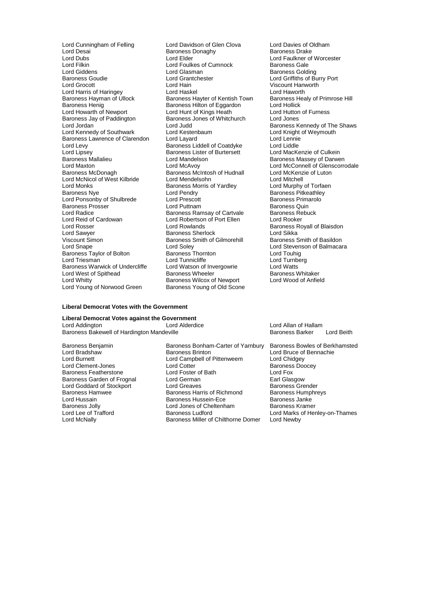Lord Desai  $\overline{\phantom{a}}$  Baroness Donaghy<br>Lord Dubs Baroness Donaghy Lord Dubs Lord Elder Lord Faulkner of Worcester Lord Filkin Lord Foulkes of Cumnock<br>Lord Giddens Lord Glasman Lord Giddens **Lord Glasman** Communications Colding Baroness Golding<br>
Baroness Goudie **Baroness Colding Communications**<br>
Lord Griffiths of Bu Baroness Goudie Lord Grantchester Lord Griffiths of Burry Port Lord Harris of Haringey **Lord Haskel Lord Haskel** Lord Haworth Lord Haworth<br>Baroness Hayman of Ullock Baroness Hayter of Kentish Town Baroness Healy of Primrose Hill Baroness Hayman of Úllock Baroness Hayter of Kentish Town Baroness He<br>Baroness Henig Baroness Hilton of Eggardon Lord Hollick Baroness Henig Baroness Hilton of Eggardon Card Hollick Cord Hollick<br>
Lord Howarth of Newport Lord Hunt of Kings Heath Cord Hutton of Furness Baroness Jay of Paddington Baroness Jay of Paddington Baroness of Baroness of Baroness of White<br>
Lord Judd Lord Kennedy of Southwark Lord Kestenbaum Lord Kennedy of Southwark Lord Knight Cord Knight Cord Lennie Baroness Lawrence of Clarendon Lord Layard<br>
Lord Levy Baroness Liddell of Coatdyke Lord Liddle Lord Lipsey Baroness Lister of Burtersett<br>Baroness Mallalieu **Baroness Cord Mandelson** Baroness Mallalieu **Baroness Mandelson**<br>
Lord Mandelson Baroness Massey of Darwen<br>
Lord Maxton Baroness Massey of Darwen Baroness Massey of Darwen Baroness Massey of Darwen Lord Maxton **Lord McAvoy** Lord McAvoy **Lord McConnell of Glenscorrodale**<br>
Baroness McDonagh **Baroness McIntosh of Hudnall** Lord McKenzie of Luton Lord McNicol of West Kilbride Lord Mendelsohn Lord Mitchell Lord Monks<br>
Baroness Nye **Baroness** Morris of Yardley<br>
Lord Pendry Lord Ponsonby of Shulbrede Baroness Prosser **Exercise Server Lord Puttnam** Baroness Quin<br>
Lord Radice **Baroness Ramsay of Cartvale** Baroness Rebuck Lord Radice **Baroness Ramsay of Cartvale** Baroness Rebuck<br>
Lord Reid of Cardowan **Baroness Rebucks**<br>
Lord Robertson of Port Ellen Lord Rooker Lord Reid of Cardowan Lord Robertson of Port Ellen<br>Lord Rosser Lord Rowlands Lord Sawyer **Baroness Sherlock** Lord Sikka<br>
Viscount Simon Clearences Smith of Gilmorehill Baroness Smith of Basildon Viscount Simon Baroness Smith of Gilmorehill<br>
Lord Snape Lord Soley<br>
Baroness Taylor of Bolton Baroness Thornton Baroness Taylor of Bolton Baroness Thornton Corporation Corporation Corporation Corporation Corporation Lord To<br>Corporation Lord Touhight Lord Touhight Corporation Lord Turnberg Baroness Warwick of Undercliffe Lord Watson of Invergowrie Lord Watts Cord Watts<br>
Lord West of Spithead Baroness Wheeler Baroness Whitaker Lord West of Spithead Baroness Wheeler Baroness Whitaker<br>
Lord Whitty Baroness Wilcox of Newport Lord Wood of Anfield Lord Whitty <br>
Lord Young of Norwood Green 
Baroness Young of Old Scone<br>
Baroness Young of Old Scone Lord Young of Norwood Green

Lord Cunningham of Felling Lord Davidson of Glen Clova Lord Davies of Oldham<br>Lord Desai Cord Daroness Donaghy Baroness Dake Lord Hain **Carlo Communist Communist Communist Communist Communist Communist Communist Communist Communist Communist Communist Communist Communist Communist Communist Communist Communist Communist Communist Communist Commu** Lord Hunt of Kings Heath Lord Hutton **Baroness Jones of Whitchurch Lord Jones** Baroness Liddell of Coatdyke Lord Liddle<br>Baroness Lister of Burtersett Lord MacKenzie of Culkein Baroness McIntosh of Hudnall Lord McKenzie of Hudnall Lord McKenzie of Mitchell Lord Pendry **Baroness Pitkeathley**<br>
Lord Prescott **Baroness Primarolo** Lord Tunnicliffe **Lord Turnbers Lord Turnberg Lord Turnberg**<br>Lord Watson of Invergowrie **Lord Watts** 

Lord Judd<br>
Lord Kestenbaum<br>
Lord Knight of Weymouth Baroness Royall of Blaisdon Lord Stevenson of Balmacara<br>Lord Touhig

#### **Liberal Democrat Votes with the Government**

**Liberal Democrat Votes against the Government** Lord Addington Lord Alderdice Lord Allan of Hallam<br>Baroness Bakewell of Hardington Mandeville Lord Allan Designess Barker Baroness Bakewell of Hardington Mandeville **Baroness Barker Lord Beith** Baroness Barker Lord Beith

Baroness Jolly Lord Jones of Cheltenham<br>
Lord Lee of Trafford Baroness Ludford

Baroness Benjamin Baroness Bonham-Carter of Yarnbury Baroness Bowles of Berkhamsted<br>Lord Bradshaw Baroness Brinton Lord Bruce of Bennachie Lord Bradshaw **Baroness Brinton Community Community** Lord Bruce of Bennachie<br>
Lord Burnett **Lord Campbell** of Pittenweem Lord Chidgey Lord Campbell of Pittenweem Lord Chidgey<br>
Lord Cotter Baroness Doocey Lord Clement-Jones Lord Cotter Baroness Doocey Baroness Featherstone Lord Foster of Bath Lord Fox Baroness Garden of Frognal Lord German Communication Carl Glasgow<br>
Lord Goddard of Stockport Lord Greaves Creates Baroness Grender Lord Goddard of Stockport Lord Greaves Crematic Baroness Grender<br>Baroness Hamwee Baroness Harris of Richmond Baroness Humphreys Baroness Hamwee Baroness Harris of Richmond Baroness Humphreys Baroness Hammend Baroness Humphreys Baroness Humphreys Baroness Humphreys Baroness Humphreys Baroness Humphreys Baroness Janke Lord Hussain **Example 3 Example 3 Example 3 Example 3 Example 3 Example 3 Example 3 Example 3 Example 3 Example<br>Baroness Jolly Baroness Kramer** Lord Lee of Trafford **Baroness Ludford** Lord Marks of Henley-on-Thames<br>
Lord McNally **Communist Communist Communist Communist Communist Communist Communist Communist Communist Communis** Baroness Miller of Chilthorne Domer Lord Newby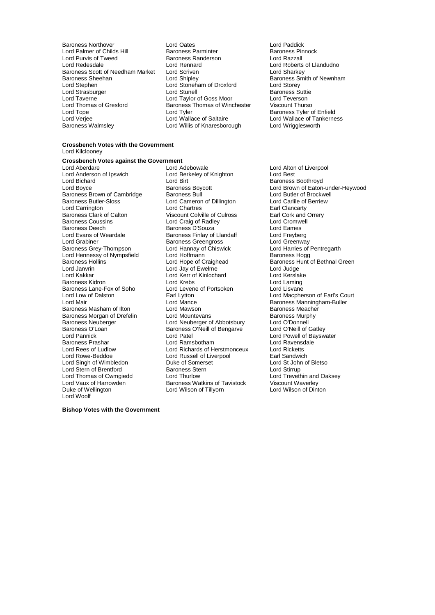Baroness Northover Lord Oates Lord Paddick Lord Palmer of Childs Hill Baroness Parminter Baroness Pinnock Baroness Pinnock Baroness Pinnock Baroness Pinnock Baroness Pinnock Baroness Randerson Lord Razzall Lord Purvis of Tweed<br>
Lord Redesdale<br>
Lord Rennard Baroness Scott of Needham Market Lord Scriven<br>Baroness Sheehan Lord Shipley Baroness Sheehan **Example 2** Lord Shipley **Baroness Smith of Newnham**<br>
Lord Steehen Lord Stoneham of Droxford Lord Storey<br>
Lord Storey Lord Stephen Lord Stoneham of Droxford<br>
Lord Strasburger Lord Stunell Lord Strasburger Lord Stunell Baroness Suttie Lord Taylor of Goss Moor Lord Teverson<br>
Lord Thomas of Gresford Baroness Thomas of Winchester Viscount Thurso Lord Tope Lord Tyler Baroness Tyler of Enfield Lord Verjee **Lord Wallace of Saltaire** Lord Wallace of Tankerness<br>
Baroness Walmslev **Lord Willis of Knaresborough** Lord Wrigglesworth

Lord Rennard Lord Roberts of Llandudno<br>
Lord Scriven Lord Sharkey Baroness Thomas of Winchester Lord Willis of Knaresborough

#### **Crossbench Votes with the Government** Lord Kilclooney

## **Crossbench Votes against the Government**

Lord Anderson of Ipswich Lord Berkeley of Knighton<br>Lord Bichard Lord Birt Lord Bichard **Communist Communist Communist Communist Communist Communist Communist Communist Communist Communist Communist Communist Communist Communist Communist Communist Communist Communist Communist Communist Communis** Baroness Brown of Cambridge Baroness Bull Lord Butler of Brockwe<br>Baroness Butler-Sloss Butler Lord Cameron of Dillington Lord Carlile of Berriew Lord Carrington Baroness Clark of Calton **Viscount Colville of Culross** Earl Cork and Orrery<br>Baroness Coussins **Earl Core Core Core Core Core Core Core** Core Corpusell Baroness Coussins **Example 2** Lord Craig of Radley **Lord Cromment Communist Conduct Cromment** Lord Eames<br>Baroness Deech **Baroness D'Souza** Lord Eames Baroness Deech **Baroness D'Allemannes D'Allemannes D'Allemannes**<br>
Lord Evans of Weardale **Baroness Exploress Explores Contracts**<br>
Lord Evans of Weardale **Baroness Finlay of Llandaff** Lord Freyberg Lord Evans of Weardale **Baroness Finlay of Llandaff** Lord Erevberg<br>Lord Grabiner **Baroness Greengross** Lord Greenway Lord Grabiner<br>
Baroness Grey-Thompson<br>
Lord Hannay of Chiswick Lord Hennessy of Nympsfield Lord Janvrin Lord Jay of Ewelme Lord Judge Baroness Kidron Lord Krebs Lord Krebs Lord Laming<br>Baroness Lane-Fox of Soho Lord Levene of Portsoken Lord Lisvane Baroness Lane-Fox of Soho Lord Levene Lord Leven<br>
Lord Low of Dalston Lord Leven Baroness Masham of Ilton Lord Mawson Communiculary Baroness Meacher<br>
Baroness Morgan of Drefelin Lord Mountevans Communiculary Baroness Murphy Baroness Morgan of Drefelin Lord Mountevans Communiculary Baroness Murphysics Murphysics Murphysics Communiculary<br>Baroness Neuberger Lord Neuberger of Abbotsbury Corporal Lord O'Donnell Baroness Neuberger **Lord Neuberger of Abbotsbury** Lord O'Donnell<br>
Baroness O'Loan **Baroness O'Neill of Bengarve** Lord O'Neill of Gatley Baroness O'Loan Baroness O'Loan Baroness O'Loan Baroness O'Neill of Bengarve<br>
Lord Pannick Lord O'Neill of Bengarve Lord Pannick Lord Patel Lord Powell of Bayswater Baroness Prashar **Example 2** Lord Ramsbotham **Lord Ravensdale Ravensdale Cord Ravenschale A**<br>
Lord Rees of Ludlow **Lord Richards of Herstmonceux** Lord Ricketts Lord Rees of Ludlow Lord Richards of Herstmonceux Lord Ricketts Lord Singh of Wimbledon **Duke of Somerset** Lord St John Lord St John of Somerset Lord St John Cord St John Cord St John Cord St John Cord St John Cord St John Duke of Somers Stern Cord St John Lord St John Cord St John Cor Lord Stern of Brentford<br>
Lord Thomas of Cwmgiedd<br>
Lord Thurlow Lord Thomas of Cwmpiedd<br>
Lord Thomas of Cwmgiedd Lord Thurlow Lord Tavistock Lord Trevethin and Oaksey<br>
Lord Vaux of Harrowden Baroness Watkins of Tavistock Viscount Waverley Lord Vaux of Harrowden **Baroness Watkins of Tavistock** Viscount Waverley<br>
Duke of Wellington **Baroness Watkins of Tavistock** Viscount Waverley<br>
Duke of Wellington **Dinton** Lord Woolf

Lord Aberdare Lord Adebowale Lord Alton of Liverpool **Baroness Lord Cameron of Dillington Lord Carlile of Lord Carlile of Berries Lord Carlile of Berries Baroness Grey-Grey-Thompson Lord Harries of Pentregarth Lord Harries of Pentregarth Lord Harries of Pentregarth** Lord Kerr of Kinlochard<br>
Lord Krebs<br>
Lord Laming Lord Russell of Liverpool<br>
Duke of Somerset<br>
Lord St John of Bletso Lord Wilson of Tillyorn

Baroness Boycott **Commission Control Brown of Eaton-under-Heywood**<br>Baroness Bull Cord Butler of Brockwell Baroness Hollins **Exercise Search Constructs Lord Hope of Craighead** Baroness Hunt of Bethnal Green<br>Lord Janvrin Lord Jay of Ewelme Lord Judge Lord Judge Lord Low of Dalston Earl Lytton Lord Macpherson of Earl's Court Baroness Manningham-Buller

**Bishop Votes with the Government**